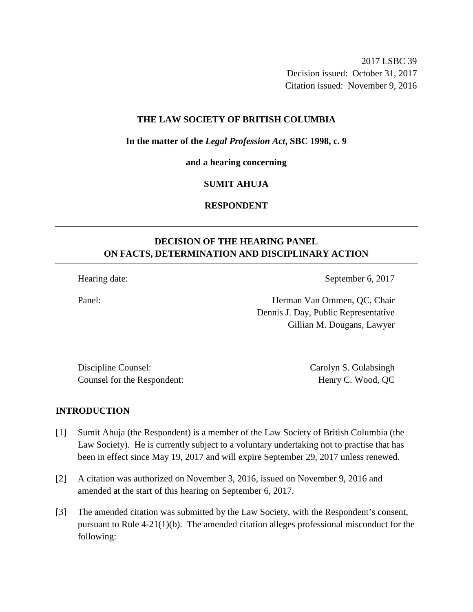2017 LSBC 39 Decision issued: October 31, 2017 Citation issued: November 9, 2016

### **THE LAW SOCIETY OF BRITISH COLUMBIA**

**In the matter of the** *Legal Profession Act***, SBC 1998, c. 9** 

**and a hearing concerning**

### **SUMIT AHUJA**

# **RESPONDENT**

# **DECISION OF THE HEARING PANEL ON FACTS, DETERMINATION AND DISCIPLINARY ACTION**

Hearing date: September 6, 2017

Panel: Herman Van Ommen, QC, Chair Dennis J. Day, Public Representative Gillian M. Dougans, Lawyer

Discipline Counsel: Carolyn S. Gulabsingh Counsel for the Respondent: Henry C. Wood, QC

#### **INTRODUCTION**

- [1] Sumit Ahuja (the Respondent) is a member of the Law Society of British Columbia (the Law Society). He is currently subject to a voluntary undertaking not to practise that has been in effect since May 19, 2017 and will expire September 29, 2017 unless renewed.
- [2] A citation was authorized on November 3, 2016, issued on November 9, 2016 and amended at the start of this hearing on September 6, 2017.
- [3] The amended citation was submitted by the Law Society, with the Respondent's consent, pursuant to Rule 4-21(1)(b). The amended citation alleges professional misconduct for the following: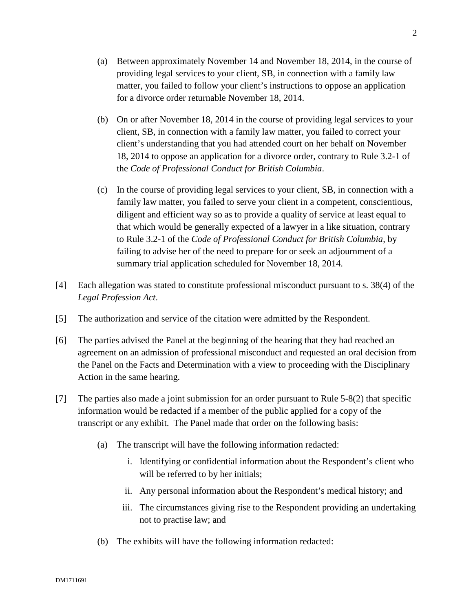- (a) Between approximately November 14 and November 18, 2014, in the course of providing legal services to your client, SB, in connection with a family law matter, you failed to follow your client's instructions to oppose an application for a divorce order returnable November 18, 2014.
- (b) On or after November 18, 2014 in the course of providing legal services to your client, SB, in connection with a family law matter, you failed to correct your client's understanding that you had attended court on her behalf on November 18, 2014 to oppose an application for a divorce order, contrary to Rule 3.2-1 of the *Code of Professional Conduct for British Columbia*.
- (c) In the course of providing legal services to your client, SB, in connection with a family law matter, you failed to serve your client in a competent, conscientious, diligent and efficient way so as to provide a quality of service at least equal to that which would be generally expected of a lawyer in a like situation, contrary to Rule 3.2-1 of the *Code of Professional Conduct for British Columbia*, by failing to advise her of the need to prepare for or seek an adjournment of a summary trial application scheduled for November 18, 2014.
- [4] Each allegation was stated to constitute professional misconduct pursuant to s. 38(4) of the *Legal Profession Act*.
- [5] The authorization and service of the citation were admitted by the Respondent.
- [6] The parties advised the Panel at the beginning of the hearing that they had reached an agreement on an admission of professional misconduct and requested an oral decision from the Panel on the Facts and Determination with a view to proceeding with the Disciplinary Action in the same hearing.
- [7] The parties also made a joint submission for an order pursuant to Rule 5-8(2) that specific information would be redacted if a member of the public applied for a copy of the transcript or any exhibit. The Panel made that order on the following basis:
	- (a) The transcript will have the following information redacted:
		- i. Identifying or confidential information about the Respondent's client who will be referred to by her initials;
		- ii. Any personal information about the Respondent's medical history; and
		- iii. The circumstances giving rise to the Respondent providing an undertaking not to practise law; and
	- (b) The exhibits will have the following information redacted: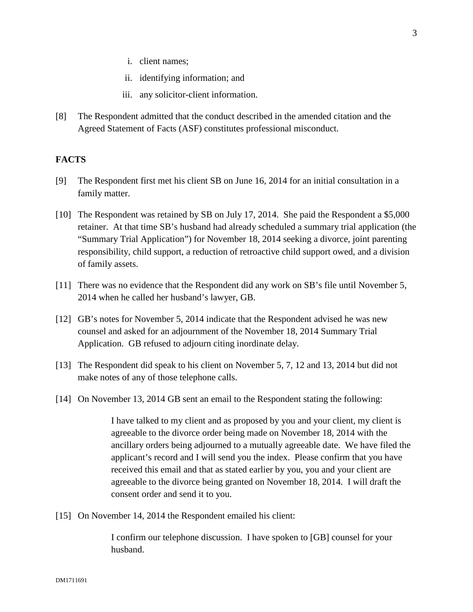- i. client names;
- ii. identifying information; and
- iii. any solicitor-client information.
- [8] The Respondent admitted that the conduct described in the amended citation and the Agreed Statement of Facts (ASF) constitutes professional misconduct.

### **FACTS**

- [9] The Respondent first met his client SB on June 16, 2014 for an initial consultation in a family matter.
- [10] The Respondent was retained by SB on July 17, 2014. She paid the Respondent a \$5,000 retainer. At that time SB's husband had already scheduled a summary trial application (the "Summary Trial Application") for November 18, 2014 seeking a divorce, joint parenting responsibility, child support, a reduction of retroactive child support owed, and a division of family assets.
- [11] There was no evidence that the Respondent did any work on SB's file until November 5, 2014 when he called her husband's lawyer, GB.
- [12] GB's notes for November 5, 2014 indicate that the Respondent advised he was new counsel and asked for an adjournment of the November 18, 2014 Summary Trial Application. GB refused to adjourn citing inordinate delay.
- [13] The Respondent did speak to his client on November 5, 7, 12 and 13, 2014 but did not make notes of any of those telephone calls.
- [14] On November 13, 2014 GB sent an email to the Respondent stating the following:

I have talked to my client and as proposed by you and your client, my client is agreeable to the divorce order being made on November 18, 2014 with the ancillary orders being adjourned to a mutually agreeable date. We have filed the applicant's record and I will send you the index. Please confirm that you have received this email and that as stated earlier by you, you and your client are agreeable to the divorce being granted on November 18, 2014. I will draft the consent order and send it to you.

[15] On November 14, 2014 the Respondent emailed his client:

I confirm our telephone discussion. I have spoken to [GB] counsel for your husband.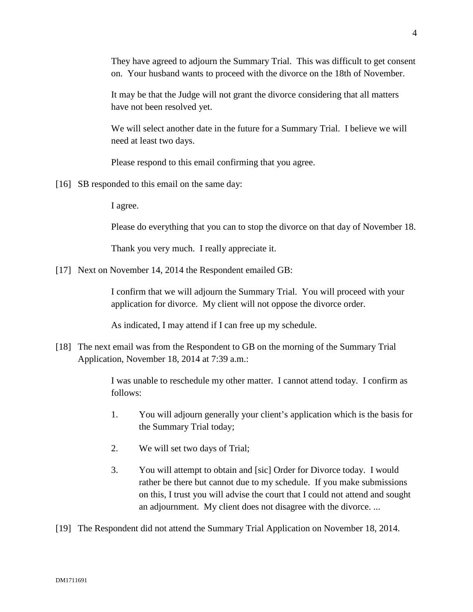They have agreed to adjourn the Summary Trial. This was difficult to get consent on. Your husband wants to proceed with the divorce on the 18th of November.

It may be that the Judge will not grant the divorce considering that all matters have not been resolved yet.

We will select another date in the future for a Summary Trial. I believe we will need at least two days.

Please respond to this email confirming that you agree.

[16] SB responded to this email on the same day:

I agree.

Please do everything that you can to stop the divorce on that day of November 18.

Thank you very much. I really appreciate it.

[17] Next on November 14, 2014 the Respondent emailed GB:

I confirm that we will adjourn the Summary Trial. You will proceed with your application for divorce. My client will not oppose the divorce order.

As indicated, I may attend if I can free up my schedule.

[18] The next email was from the Respondent to GB on the morning of the Summary Trial Application, November 18, 2014 at 7:39 a.m.:

> I was unable to reschedule my other matter. I cannot attend today. I confirm as follows:

- 1. You will adjourn generally your client's application which is the basis for the Summary Trial today;
- 2. We will set two days of Trial;
- 3. You will attempt to obtain and [sic] Order for Divorce today. I would rather be there but cannot due to my schedule. If you make submissions on this, I trust you will advise the court that I could not attend and sought an adjournment. My client does not disagree with the divorce. ...

[19] The Respondent did not attend the Summary Trial Application on November 18, 2014.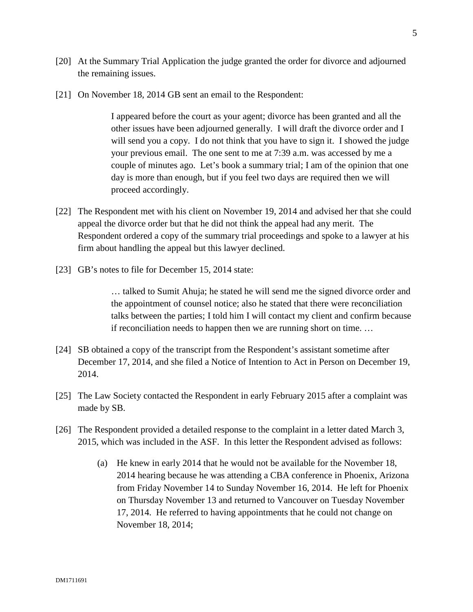- [20] At the Summary Trial Application the judge granted the order for divorce and adjourned the remaining issues.
- [21] On November 18, 2014 GB sent an email to the Respondent:

I appeared before the court as your agent; divorce has been granted and all the other issues have been adjourned generally. I will draft the divorce order and I will send you a copy. I do not think that you have to sign it. I showed the judge your previous email. The one sent to me at 7:39 a.m. was accessed by me a couple of minutes ago. Let's book a summary trial; I am of the opinion that one day is more than enough, but if you feel two days are required then we will proceed accordingly.

- [22] The Respondent met with his client on November 19, 2014 and advised her that she could appeal the divorce order but that he did not think the appeal had any merit. The Respondent ordered a copy of the summary trial proceedings and spoke to a lawyer at his firm about handling the appeal but this lawyer declined.
- [23] GB's notes to file for December 15, 2014 state:

… talked to Sumit Ahuja; he stated he will send me the signed divorce order and the appointment of counsel notice; also he stated that there were reconciliation talks between the parties; I told him I will contact my client and confirm because if reconciliation needs to happen then we are running short on time. …

- [24] SB obtained a copy of the transcript from the Respondent's assistant sometime after December 17, 2014, and she filed a Notice of Intention to Act in Person on December 19, 2014.
- [25] The Law Society contacted the Respondent in early February 2015 after a complaint was made by SB.
- [26] The Respondent provided a detailed response to the complaint in a letter dated March 3, 2015, which was included in the ASF. In this letter the Respondent advised as follows:
	- (a) He knew in early 2014 that he would not be available for the November 18, 2014 hearing because he was attending a CBA conference in Phoenix, Arizona from Friday November 14 to Sunday November 16, 2014. He left for Phoenix on Thursday November 13 and returned to Vancouver on Tuesday November 17, 2014. He referred to having appointments that he could not change on November 18, 2014;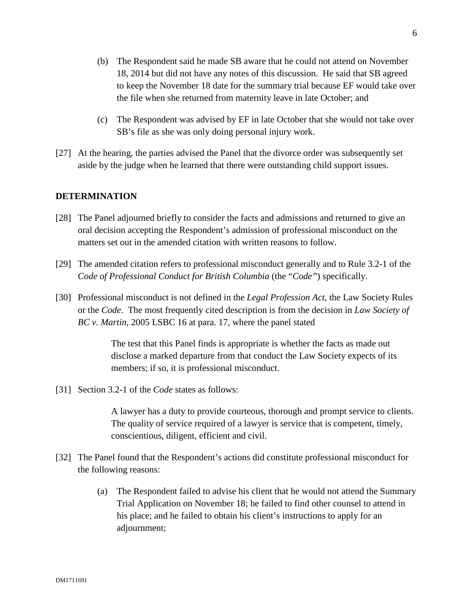- (b) The Respondent said he made SB aware that he could not attend on November 18, 2014 but did not have any notes of this discussion. He said that SB agreed to keep the November 18 date for the summary trial because EF would take over the file when she returned from maternity leave in late October; and
- (c) The Respondent was advised by EF in late October that she would not take over SB's file as she was only doing personal injury work.
- [27] At the hearing, the parties advised the Panel that the divorce order was subsequently set aside by the judge when he learned that there were outstanding child support issues.

### **DETERMINATION**

- [28] The Panel adjourned briefly to consider the facts and admissions and returned to give an oral decision accepting the Respondent's admission of professional misconduct on the matters set out in the amended citation with written reasons to follow.
- [29] The amended citation refers to professional misconduct generally and to Rule 3.2-1 of the *Code of Professional Conduct for British Columbia* (the "*Code"*) specifically.
- [30] Professional misconduct is not defined in the *Legal Profession Act*, the Law Society Rules or the *Code*. The most frequently cited description is from the decision in *Law Society of BC v. Martin*, 2005 LSBC 16 at para. 17, where the panel stated

The test that this Panel finds is appropriate is whether the facts as made out disclose a marked departure from that conduct the Law Society expects of its members; if so, it is professional misconduct.

[31] Section 3.2-1 of the *Code* states as follows:

A lawyer has a duty to provide courteous, thorough and prompt service to clients. The quality of service required of a lawyer is service that is competent, timely, conscientious, diligent, efficient and civil.

- [32] The Panel found that the Respondent's actions did constitute professional misconduct for the following reasons:
	- (a) The Respondent failed to advise his client that he would not attend the Summary Trial Application on November 18; he failed to find other counsel to attend in his place; and he failed to obtain his client's instructions to apply for an adjournment;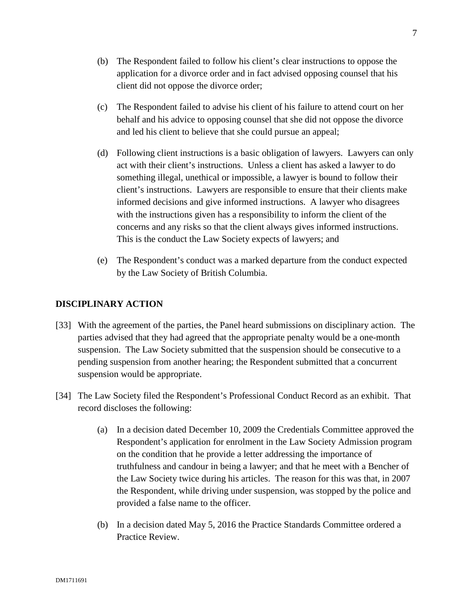- (b) The Respondent failed to follow his client's clear instructions to oppose the application for a divorce order and in fact advised opposing counsel that his client did not oppose the divorce order;
- (c) The Respondent failed to advise his client of his failure to attend court on her behalf and his advice to opposing counsel that she did not oppose the divorce and led his client to believe that she could pursue an appeal;
- (d) Following client instructions is a basic obligation of lawyers. Lawyers can only act with their client's instructions. Unless a client has asked a lawyer to do something illegal, unethical or impossible, a lawyer is bound to follow their client's instructions. Lawyers are responsible to ensure that their clients make informed decisions and give informed instructions. A lawyer who disagrees with the instructions given has a responsibility to inform the client of the concerns and any risks so that the client always gives informed instructions. This is the conduct the Law Society expects of lawyers; and
- (e) The Respondent's conduct was a marked departure from the conduct expected by the Law Society of British Columbia.

# **DISCIPLINARY ACTION**

- [33] With the agreement of the parties, the Panel heard submissions on disciplinary action. The parties advised that they had agreed that the appropriate penalty would be a one-month suspension. The Law Society submitted that the suspension should be consecutive to a pending suspension from another hearing; the Respondent submitted that a concurrent suspension would be appropriate.
- [34] The Law Society filed the Respondent's Professional Conduct Record as an exhibit. That record discloses the following:
	- (a) In a decision dated December 10, 2009 the Credentials Committee approved the Respondent's application for enrolment in the Law Society Admission program on the condition that he provide a letter addressing the importance of truthfulness and candour in being a lawyer; and that he meet with a Bencher of the Law Society twice during his articles. The reason for this was that, in 2007 the Respondent, while driving under suspension, was stopped by the police and provided a false name to the officer.
	- (b) In a decision dated May 5, 2016 the Practice Standards Committee ordered a Practice Review.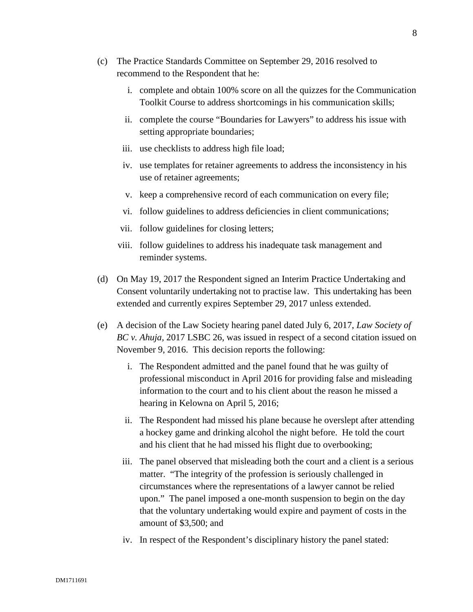- (c) The Practice Standards Committee on September 29, 2016 resolved to recommend to the Respondent that he:
	- i. complete and obtain 100% score on all the quizzes for the Communication Toolkit Course to address shortcomings in his communication skills;
	- ii. complete the course "Boundaries for Lawyers" to address his issue with setting appropriate boundaries;
	- iii. use checklists to address high file load;
	- iv. use templates for retainer agreements to address the inconsistency in his use of retainer agreements;
	- v. keep a comprehensive record of each communication on every file;
	- vi. follow guidelines to address deficiencies in client communications;
	- vii. follow guidelines for closing letters;
	- viii. follow guidelines to address his inadequate task management and reminder systems.
- (d) On May 19, 2017 the Respondent signed an Interim Practice Undertaking and Consent voluntarily undertaking not to practise law. This undertaking has been extended and currently expires September 29, 2017 unless extended.
- (e) A decision of the Law Society hearing panel dated July 6, 2017, *Law Society of BC v. Ahuja,* 2017 LSBC 26, was issued in respect of a second citation issued on November 9, 2016. This decision reports the following:
	- i. The Respondent admitted and the panel found that he was guilty of professional misconduct in April 2016 for providing false and misleading information to the court and to his client about the reason he missed a hearing in Kelowna on April 5, 2016;
	- ii. The Respondent had missed his plane because he overslept after attending a hockey game and drinking alcohol the night before. He told the court and his client that he had missed his flight due to overbooking;
	- iii. The panel observed that misleading both the court and a client is a serious matter. "The integrity of the profession is seriously challenged in circumstances where the representations of a lawyer cannot be relied upon." The panel imposed a one-month suspension to begin on the day that the voluntary undertaking would expire and payment of costs in the amount of \$3,500; and
	- iv. In respect of the Respondent's disciplinary history the panel stated: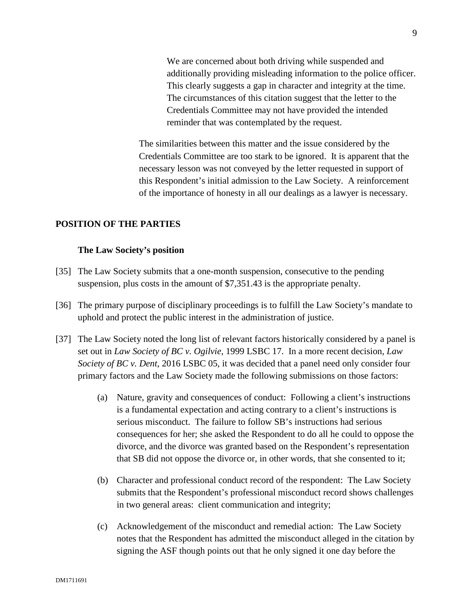We are concerned about both driving while suspended and additionally providing misleading information to the police officer. This clearly suggests a gap in character and integrity at the time. The circumstances of this citation suggest that the letter to the Credentials Committee may not have provided the intended reminder that was contemplated by the request.

The similarities between this matter and the issue considered by the Credentials Committee are too stark to be ignored. It is apparent that the necessary lesson was not conveyed by the letter requested in support of this Respondent's initial admission to the Law Society. A reinforcement of the importance of honesty in all our dealings as a lawyer is necessary.

### **POSITION OF THE PARTIES**

### **The Law Society's position**

- [35] The Law Society submits that a one-month suspension, consecutive to the pending suspension, plus costs in the amount of \$7,351.43 is the appropriate penalty.
- [36] The primary purpose of disciplinary proceedings is to fulfill the Law Society's mandate to uphold and protect the public interest in the administration of justice.
- [37] The Law Society noted the long list of relevant factors historically considered by a panel is set out in *Law Society of BC v. Ogilvie*, 1999 LSBC 17. In a more recent decision, *Law Society of BC v. Dent*, 2016 LSBC 05, it was decided that a panel need only consider four primary factors and the Law Society made the following submissions on those factors:
	- (a) Nature, gravity and consequences of conduct: Following a client's instructions is a fundamental expectation and acting contrary to a client's instructions is serious misconduct. The failure to follow SB's instructions had serious consequences for her; she asked the Respondent to do all he could to oppose the divorce, and the divorce was granted based on the Respondent's representation that SB did not oppose the divorce or, in other words, that she consented to it;
	- (b) Character and professional conduct record of the respondent: The Law Society submits that the Respondent's professional misconduct record shows challenges in two general areas: client communication and integrity;
	- (c) Acknowledgement of the misconduct and remedial action: The Law Society notes that the Respondent has admitted the misconduct alleged in the citation by signing the ASF though points out that he only signed it one day before the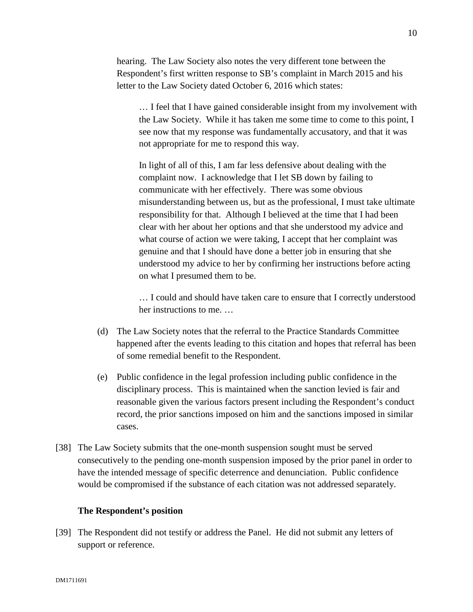hearing. The Law Society also notes the very different tone between the Respondent's first written response to SB's complaint in March 2015 and his letter to the Law Society dated October 6, 2016 which states:

… I feel that I have gained considerable insight from my involvement with the Law Society. While it has taken me some time to come to this point, I see now that my response was fundamentally accusatory, and that it was not appropriate for me to respond this way.

In light of all of this, I am far less defensive about dealing with the complaint now. I acknowledge that I let SB down by failing to communicate with her effectively. There was some obvious misunderstanding between us, but as the professional, I must take ultimate responsibility for that. Although I believed at the time that I had been clear with her about her options and that she understood my advice and what course of action we were taking, I accept that her complaint was genuine and that I should have done a better job in ensuring that she understood my advice to her by confirming her instructions before acting on what I presumed them to be.

… I could and should have taken care to ensure that I correctly understood her instructions to me. …

- (d) The Law Society notes that the referral to the Practice Standards Committee happened after the events leading to this citation and hopes that referral has been of some remedial benefit to the Respondent.
- (e) Public confidence in the legal profession including public confidence in the disciplinary process. This is maintained when the sanction levied is fair and reasonable given the various factors present including the Respondent's conduct record, the prior sanctions imposed on him and the sanctions imposed in similar cases.
- [38] The Law Society submits that the one-month suspension sought must be served consecutively to the pending one-month suspension imposed by the prior panel in order to have the intended message of specific deterrence and denunciation. Public confidence would be compromised if the substance of each citation was not addressed separately.

### **The Respondent's position**

[39] The Respondent did not testify or address the Panel. He did not submit any letters of support or reference.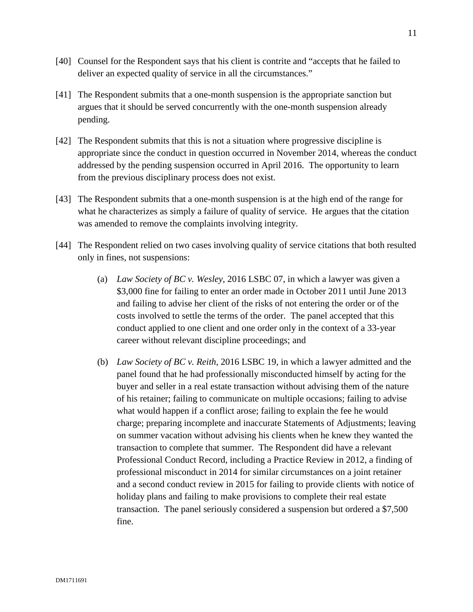- [40] Counsel for the Respondent says that his client is contrite and "accepts that he failed to deliver an expected quality of service in all the circumstances."
- [41] The Respondent submits that a one-month suspension is the appropriate sanction but argues that it should be served concurrently with the one-month suspension already pending.
- [42] The Respondent submits that this is not a situation where progressive discipline is appropriate since the conduct in question occurred in November 2014, whereas the conduct addressed by the pending suspension occurred in April 2016. The opportunity to learn from the previous disciplinary process does not exist.
- [43] The Respondent submits that a one-month suspension is at the high end of the range for what he characterizes as simply a failure of quality of service. He argues that the citation was amended to remove the complaints involving integrity.
- [44] The Respondent relied on two cases involving quality of service citations that both resulted only in fines, not suspensions:
	- (a) *Law Society of BC v. Wesley*, 2016 LSBC 07, in which a lawyer was given a \$3,000 fine for failing to enter an order made in October 2011 until June 2013 and failing to advise her client of the risks of not entering the order or of the costs involved to settle the terms of the order. The panel accepted that this conduct applied to one client and one order only in the context of a 33-year career without relevant discipline proceedings; and
	- (b) *Law Society of BC v. Reith*, 2016 LSBC 19, in which a lawyer admitted and the panel found that he had professionally misconducted himself by acting for the buyer and seller in a real estate transaction without advising them of the nature of his retainer; failing to communicate on multiple occasions; failing to advise what would happen if a conflict arose; failing to explain the fee he would charge; preparing incomplete and inaccurate Statements of Adjustments; leaving on summer vacation without advising his clients when he knew they wanted the transaction to complete that summer. The Respondent did have a relevant Professional Conduct Record, including a Practice Review in 2012, a finding of professional misconduct in 2014 for similar circumstances on a joint retainer and a second conduct review in 2015 for failing to provide clients with notice of holiday plans and failing to make provisions to complete their real estate transaction. The panel seriously considered a suspension but ordered a \$7,500 fine.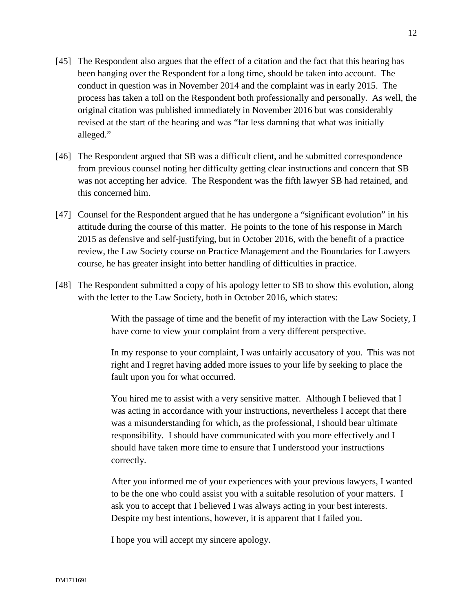- [45] The Respondent also argues that the effect of a citation and the fact that this hearing has been hanging over the Respondent for a long time, should be taken into account. The conduct in question was in November 2014 and the complaint was in early 2015. The process has taken a toll on the Respondent both professionally and personally. As well, the original citation was published immediately in November 2016 but was considerably revised at the start of the hearing and was "far less damning that what was initially alleged."
- [46] The Respondent argued that SB was a difficult client, and he submitted correspondence from previous counsel noting her difficulty getting clear instructions and concern that SB was not accepting her advice. The Respondent was the fifth lawyer SB had retained, and this concerned him.
- [47] Counsel for the Respondent argued that he has undergone a "significant evolution" in his attitude during the course of this matter. He points to the tone of his response in March 2015 as defensive and self-justifying, but in October 2016, with the benefit of a practice review, the Law Society course on Practice Management and the Boundaries for Lawyers course, he has greater insight into better handling of difficulties in practice.
- [48] The Respondent submitted a copy of his apology letter to SB to show this evolution, along with the letter to the Law Society, both in October 2016, which states:

With the passage of time and the benefit of my interaction with the Law Society, I have come to view your complaint from a very different perspective.

In my response to your complaint, I was unfairly accusatory of you. This was not right and I regret having added more issues to your life by seeking to place the fault upon you for what occurred.

You hired me to assist with a very sensitive matter. Although I believed that I was acting in accordance with your instructions, nevertheless I accept that there was a misunderstanding for which, as the professional, I should bear ultimate responsibility. I should have communicated with you more effectively and I should have taken more time to ensure that I understood your instructions correctly.

After you informed me of your experiences with your previous lawyers, I wanted to be the one who could assist you with a suitable resolution of your matters. I ask you to accept that I believed I was always acting in your best interests. Despite my best intentions, however, it is apparent that I failed you.

I hope you will accept my sincere apology.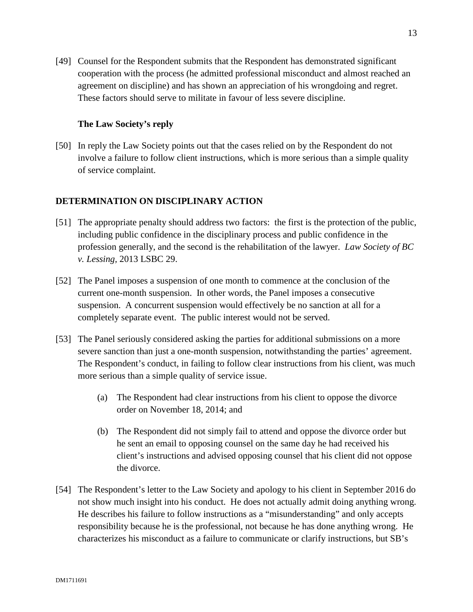[49] Counsel for the Respondent submits that the Respondent has demonstrated significant cooperation with the process (he admitted professional misconduct and almost reached an agreement on discipline) and has shown an appreciation of his wrongdoing and regret. These factors should serve to militate in favour of less severe discipline.

## **The Law Society's reply**

[50] In reply the Law Society points out that the cases relied on by the Respondent do not involve a failure to follow client instructions, which is more serious than a simple quality of service complaint.

# **DETERMINATION ON DISCIPLINARY ACTION**

- [51] The appropriate penalty should address two factors: the first is the protection of the public, including public confidence in the disciplinary process and public confidence in the profession generally, and the second is the rehabilitation of the lawyer. *Law Society of BC v. Lessing,* 2013 LSBC 29.
- [52] The Panel imposes a suspension of one month to commence at the conclusion of the current one-month suspension. In other words, the Panel imposes a consecutive suspension. A concurrent suspension would effectively be no sanction at all for a completely separate event. The public interest would not be served.
- [53] The Panel seriously considered asking the parties for additional submissions on a more severe sanction than just a one-month suspension, notwithstanding the parties' agreement. The Respondent's conduct, in failing to follow clear instructions from his client, was much more serious than a simple quality of service issue.
	- (a) The Respondent had clear instructions from his client to oppose the divorce order on November 18, 2014; and
	- (b) The Respondent did not simply fail to attend and oppose the divorce order but he sent an email to opposing counsel on the same day he had received his client's instructions and advised opposing counsel that his client did not oppose the divorce.
- [54] The Respondent's letter to the Law Society and apology to his client in September 2016 do not show much insight into his conduct. He does not actually admit doing anything wrong. He describes his failure to follow instructions as a "misunderstanding" and only accepts responsibility because he is the professional, not because he has done anything wrong. He characterizes his misconduct as a failure to communicate or clarify instructions, but SB's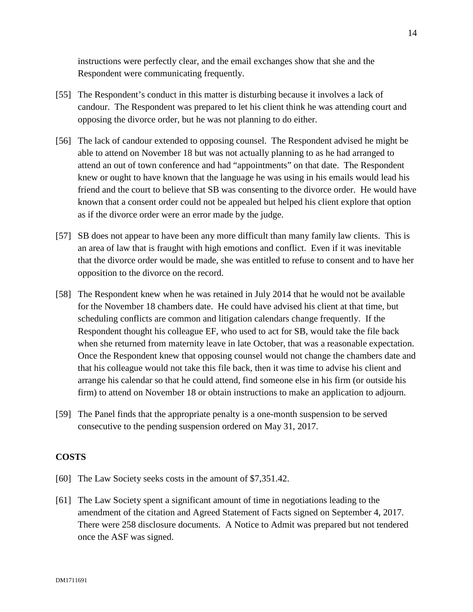instructions were perfectly clear, and the email exchanges show that she and the Respondent were communicating frequently.

- [55] The Respondent's conduct in this matter is disturbing because it involves a lack of candour. The Respondent was prepared to let his client think he was attending court and opposing the divorce order, but he was not planning to do either.
- [56] The lack of candour extended to opposing counsel. The Respondent advised he might be able to attend on November 18 but was not actually planning to as he had arranged to attend an out of town conference and had "appointments" on that date. The Respondent knew or ought to have known that the language he was using in his emails would lead his friend and the court to believe that SB was consenting to the divorce order. He would have known that a consent order could not be appealed but helped his client explore that option as if the divorce order were an error made by the judge.
- [57] SB does not appear to have been any more difficult than many family law clients. This is an area of law that is fraught with high emotions and conflict. Even if it was inevitable that the divorce order would be made, she was entitled to refuse to consent and to have her opposition to the divorce on the record.
- [58] The Respondent knew when he was retained in July 2014 that he would not be available for the November 18 chambers date. He could have advised his client at that time, but scheduling conflicts are common and litigation calendars change frequently. If the Respondent thought his colleague EF, who used to act for SB, would take the file back when she returned from maternity leave in late October, that was a reasonable expectation. Once the Respondent knew that opposing counsel would not change the chambers date and that his colleague would not take this file back, then it was time to advise his client and arrange his calendar so that he could attend, find someone else in his firm (or outside his firm) to attend on November 18 or obtain instructions to make an application to adjourn.
- [59] The Panel finds that the appropriate penalty is a one-month suspension to be served consecutive to the pending suspension ordered on May 31, 2017.

### **COSTS**

- [60] The Law Society seeks costs in the amount of \$7,351.42.
- [61] The Law Society spent a significant amount of time in negotiations leading to the amendment of the citation and Agreed Statement of Facts signed on September 4, 2017. There were 258 disclosure documents. A Notice to Admit was prepared but not tendered once the ASF was signed.